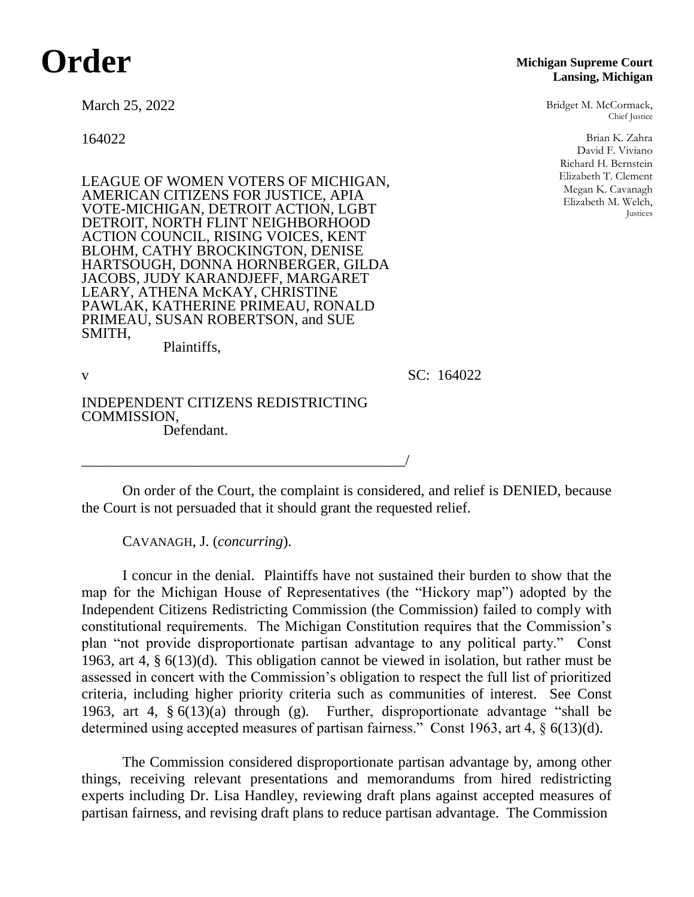## **Order**

March 25, 2022

164022

LEAGUE OF WOMEN VOTERS OF MICHIGAN, AMERICAN CITIZENS FOR JUSTICE, APIA VOTE-MICHIGAN, DETROIT ACTION, LGBT DETROIT, NORTH FLINT NEIGHBORHOOD ACTION COUNCIL, RISING VOICES, KENT BLOHM, CATHY BROCKINGTON, DENISE HARTSOUGH, DONNA HORNBERGER, GILDA JACOBS, JUDY KARANDJEFF, MARGARET LEARY, ATHENA McKAY, CHRISTINE PAWLAK, KATHERINE PRIMEAU, RONALD PRIMEAU, SUSAN ROBERTSON, and SUE SMITH,

Plaintiffs,

v SC: 164022

INDEPENDENT CITIZENS REDISTRICTING COMMISSION, Defendant.

\_\_\_\_\_\_\_\_\_\_\_\_\_\_\_\_\_\_\_\_\_\_\_\_\_\_\_\_\_\_\_\_\_\_\_\_\_\_\_\_\_\_\_\_/

On order of the Court, the complaint is considered, and relief is DENIED, because the Court is not persuaded that it should grant the requested relief.

CAVANAGH, J. (*concurring*).

I concur in the denial. Plaintiffs have not sustained their burden to show that the map for the Michigan House of Representatives (the "Hickory map") adopted by the Independent Citizens Redistricting Commission (the Commission) failed to comply with constitutional requirements. The Michigan Constitution requires that the Commission's plan "not provide disproportionate partisan advantage to any political party." Const 1963, art 4, § 6(13)(d). This obligation cannot be viewed in isolation, but rather must be assessed in concert with the Commission's obligation to respect the full list of prioritized criteria, including higher priority criteria such as communities of interest. See Const 1963, art 4, § 6(13)(a) through (g)*.* Further, disproportionate advantage "shall be determined using accepted measures of partisan fairness." Const 1963, art 4, § 6(13)(d).

The Commission considered disproportionate partisan advantage by, among other things, receiving relevant presentations and memorandums from hired redistricting experts including Dr. Lisa Handley, reviewing draft plans against accepted measures of partisan fairness, and revising draft plans to reduce partisan advantage. The Commission

## **Michigan Supreme Court Lansing, Michigan**

Bridget M. McCormack, Chief Justice

> Brian K. Zahra David F. Viviano Richard H. Bernstein Elizabeth T. Clement Megan K. Cavanagh Elizabeth M. Welch, Justices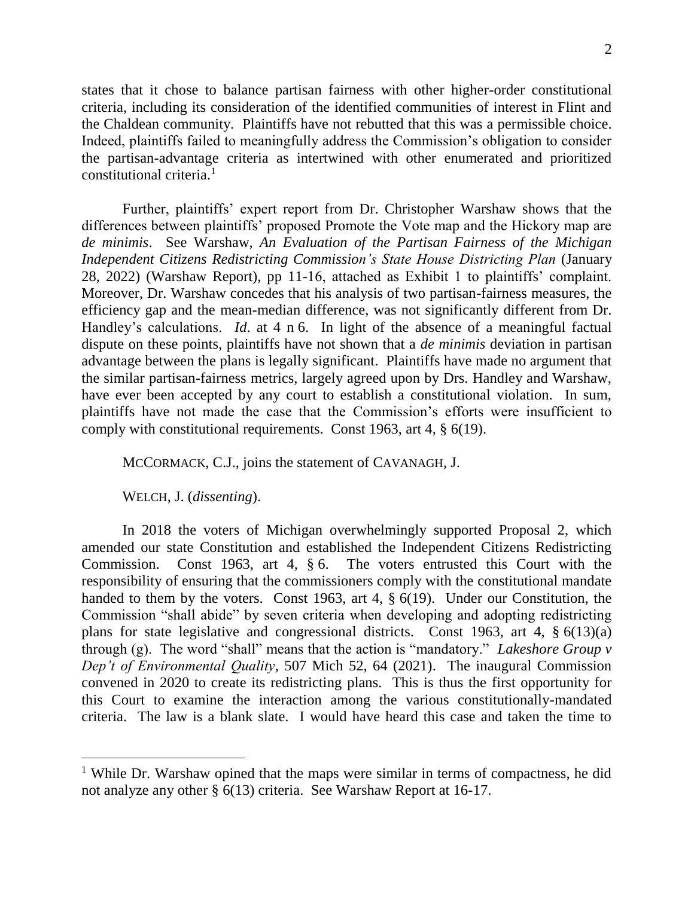2

states that it chose to balance partisan fairness with other higher-order constitutional criteria, including its consideration of the identified communities of interest in Flint and the Chaldean community. Plaintiffs have not rebutted that this was a permissible choice. Indeed, plaintiffs failed to meaningfully address the Commission's obligation to consider the partisan-advantage criteria as intertwined with other enumerated and prioritized constitutional criteria.<sup>1</sup>

Further, plaintiffs' expert report from Dr. Christopher Warshaw shows that the differences between plaintiffs' proposed Promote the Vote map and the Hickory map are *de minimis*. See Warshaw, *An Evaluation of the Partisan Fairness of the Michigan Independent Citizens Redistricting Commission's State House Districting Plan* (January 28, 2022) (Warshaw Report), pp 11-16, attached as Exhibit 1 to plaintiffs' complaint. Moreover, Dr. Warshaw concedes that his analysis of two partisan-fairness measures, the efficiency gap and the mean-median difference, was not significantly different from Dr. Handley's calculations. *Id*. at 4 n 6. In light of the absence of a meaningful factual dispute on these points, plaintiffs have not shown that a *de minimis* deviation in partisan advantage between the plans is legally significant. Plaintiffs have made no argument that the similar partisan-fairness metrics, largely agreed upon by Drs. Handley and Warshaw, have ever been accepted by any court to establish a constitutional violation. In sum, plaintiffs have not made the case that the Commission's efforts were insufficient to comply with constitutional requirements. Const 1963, art 4, § 6(19).

MCCORMACK, C.J., joins the statement of CAVANAGH, J.

WELCH, J. (*dissenting*).

In 2018 the voters of Michigan overwhelmingly supported Proposal 2, which amended our state Constitution and established the Independent Citizens Redistricting Commission. Const 1963, art 4, § 6. The voters entrusted this Court with the responsibility of ensuring that the commissioners comply with the constitutional mandate handed to them by the voters. Const 1963, art 4, § 6(19). Under our Constitution, the Commission "shall abide" by seven criteria when developing and adopting redistricting plans for state legislative and congressional districts. Const 1963, art 4, § 6(13)(a) through (g). The word "shall" means that the action is "mandatory." *Lakeshore Group v Dep't of Environmental Quality*, 507 Mich 52, 64 (2021). The inaugural Commission convened in 2020 to create its redistricting plans. This is thus the first opportunity for this Court to examine the interaction among the various constitutionally-mandated criteria. The law is a blank slate. I would have heard this case and taken the time to

<sup>&</sup>lt;sup>1</sup> While Dr. Warshaw opined that the maps were similar in terms of compactness, he did not analyze any other § 6(13) criteria. See Warshaw Report at 16-17.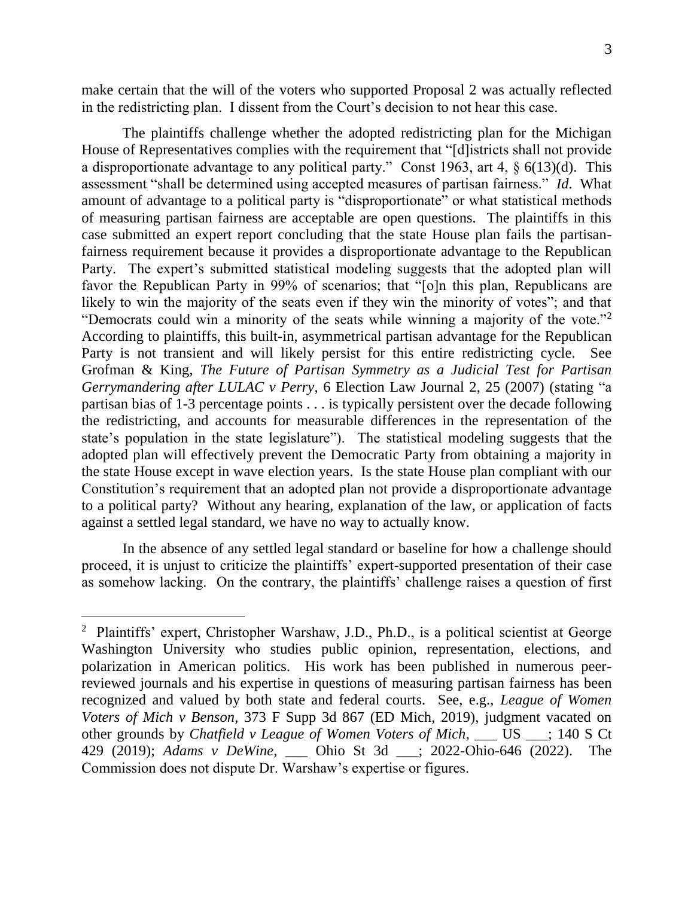make certain that the will of the voters who supported Proposal 2 was actually reflected in the redistricting plan. I dissent from the Court's decision to not hear this case.

The plaintiffs challenge whether the adopted redistricting plan for the Michigan House of Representatives complies with the requirement that "[d]istricts shall not provide a disproportionate advantage to any political party." Const 1963, art 4, § 6(13)(d). This assessment "shall be determined using accepted measures of partisan fairness." *Id*. What amount of advantage to a political party is "disproportionate" or what statistical methods of measuring partisan fairness are acceptable are open questions. The plaintiffs in this case submitted an expert report concluding that the state House plan fails the partisanfairness requirement because it provides a disproportionate advantage to the Republican Party. The expert's submitted statistical modeling suggests that the adopted plan will favor the Republican Party in 99% of scenarios; that "[o]n this plan, Republicans are likely to win the majority of the seats even if they win the minority of votes"; and that "Democrats could win a minority of the seats while winning a majority of the vote."<sup>2</sup> According to plaintiffs, this built-in, asymmetrical partisan advantage for the Republican Party is not transient and will likely persist for this entire redistricting cycle. See Grofman & King, *The Future of Partisan Symmetry as a Judicial Test for Partisan Gerrymandering after LULAC v Perry*, 6 Election Law Journal 2, 25 (2007) (stating "a partisan bias of 1-3 percentage points . . . is typically persistent over the decade following the redistricting, and accounts for measurable differences in the representation of the state's population in the state legislature"). The statistical modeling suggests that the adopted plan will effectively prevent the Democratic Party from obtaining a majority in the state House except in wave election years. Is the state House plan compliant with our Constitution's requirement that an adopted plan not provide a disproportionate advantage to a political party? Without any hearing, explanation of the law, or application of facts against a settled legal standard, we have no way to actually know.

In the absence of any settled legal standard or baseline for how a challenge should proceed, it is unjust to criticize the plaintiffs' expert-supported presentation of their case as somehow lacking. On the contrary, the plaintiffs' challenge raises a question of first

<sup>&</sup>lt;sup>2</sup> Plaintiffs' expert, Christopher Warshaw, J.D., Ph.D., is a political scientist at George Washington University who studies public opinion, representation, elections, and polarization in American politics. His work has been published in numerous peerreviewed journals and his expertise in questions of measuring partisan fairness has been recognized and valued by both state and federal courts. See, e.g., *League of Women Voters of Mich v Benson*, 373 F Supp 3d 867 (ED Mich, 2019), judgment vacated on other grounds by *Chatfield v League of Women Voters of Mich*, \_\_\_ US \_\_\_; 140 S Ct 429 (2019); *Adams v DeWine*, \_\_\_ Ohio St 3d \_\_\_; 2022-Ohio-646 (2022). The Commission does not dispute Dr. Warshaw's expertise or figures.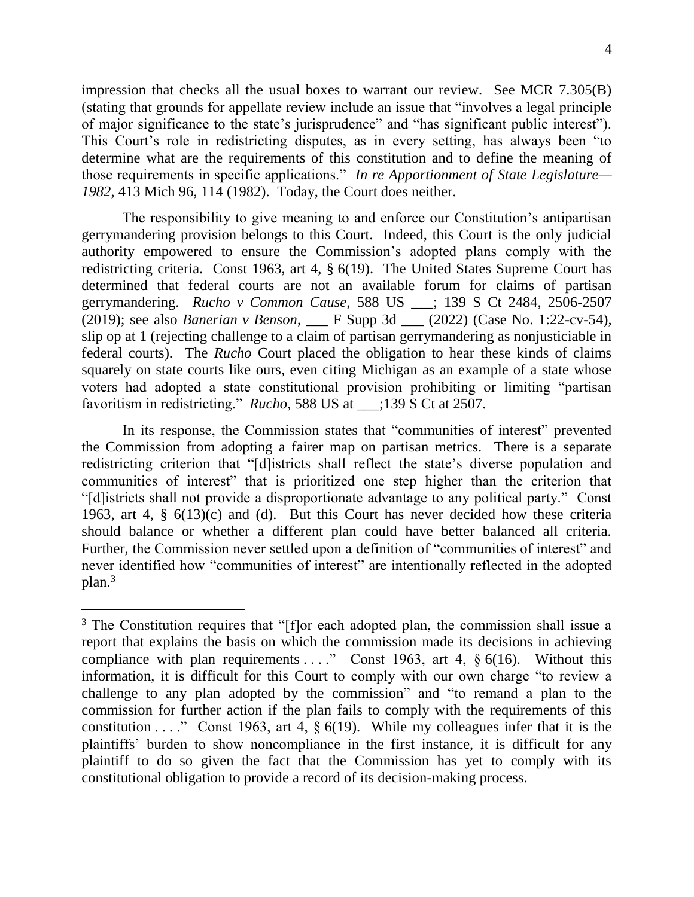4

impression that checks all the usual boxes to warrant our review. See MCR 7.305(B) (stating that grounds for appellate review include an issue that "involves a legal principle of major significance to the state's jurisprudence" and "has significant public interest"). This Court's role in redistricting disputes, as in every setting, has always been "to determine what are the requirements of this constitution and to define the meaning of those requirements in specific applications." *In re Apportionment of State Legislature— 1982*, 413 Mich 96, 114 (1982). Today, the Court does neither.

The responsibility to give meaning to and enforce our Constitution's antipartisan gerrymandering provision belongs to this Court. Indeed, this Court is the only judicial authority empowered to ensure the Commission's adopted plans comply with the redistricting criteria. Const 1963, art 4, § 6(19). The United States Supreme Court has determined that federal courts are not an available forum for claims of partisan gerrymandering. *Rucho v Common Cause*, 588 US \_\_\_; 139 S Ct 2484, 2506-2507 (2019); see also *Banerian v Benson*, \_\_\_ F Supp 3d \_\_\_ (2022) (Case No. 1:22-cv-54), slip op at 1 (rejecting challenge to a claim of partisan gerrymandering as nonjusticiable in federal courts). The *Rucho* Court placed the obligation to hear these kinds of claims squarely on state courts like ours, even citing Michigan as an example of a state whose voters had adopted a state constitutional provision prohibiting or limiting "partisan favoritism in redistricting." *Rucho*, 588 US at \_\_\_;139 S Ct at 2507.

In its response, the Commission states that "communities of interest" prevented the Commission from adopting a fairer map on partisan metrics. There is a separate redistricting criterion that "[d]istricts shall reflect the state's diverse population and communities of interest" that is prioritized one step higher than the criterion that "[d]istricts shall not provide a disproportionate advantage to any political party." Const 1963, art 4, § 6(13)(c) and (d). But this Court has never decided how these criteria should balance or whether a different plan could have better balanced all criteria. Further, the Commission never settled upon a definition of "communities of interest" and never identified how "communities of interest" are intentionally reflected in the adopted plan.<sup>3</sup>

 $\overline{a}$ 

<sup>&</sup>lt;sup>3</sup> The Constitution requires that "[f]or each adopted plan, the commission shall issue a report that explains the basis on which the commission made its decisions in achieving compliance with plan requirements ...." Const 1963, art 4,  $\S 6(16)$ . Without this information, it is difficult for this Court to comply with our own charge "to review a challenge to any plan adopted by the commission" and "to remand a plan to the commission for further action if the plan fails to comply with the requirements of this constitution . . . . " Const 1963, art 4,  $\S 6(19)$ . While my colleagues infer that it is the plaintiffs' burden to show noncompliance in the first instance, it is difficult for any plaintiff to do so given the fact that the Commission has yet to comply with its constitutional obligation to provide a record of its decision-making process.